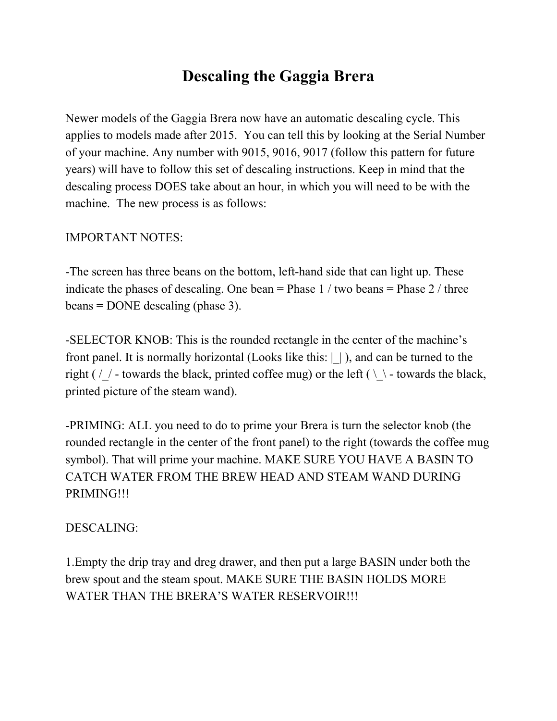## **Descaling the Gaggia Brera**

Newer models of the Gaggia Brera now have an automatic descaling cycle. This applies to models made after 2015. You can tell this by looking at the Serial Number of your machine. Any number with 9015, 9016, 9017 (follow this pattern for future years) will have to follow this set of descaling instructions. Keep in mind that the descaling process DOES take about an hour, in which you will need to be with the machine. The new process is as follows:

## IMPORTANT NOTES:

-The screen has three beans on the bottom, left-hand side that can light up. These indicate the phases of descaling. One bean  $=$  Phase 1 / two beans  $=$  Phase 2 / three beans = DONE descaling (phase 3).

-SELECTOR KNOB: This is the rounded rectangle in the center of the machine's front panel. It is normally horizontal (Looks like this:  $| \cdot |$ ), and can be turned to the right ( / / - towards the black, printed coffee mug) or the left (  $\setminus \setminus$  - towards the black, printed picture of the steam wand).

-PRIMING: ALL you need to do to prime your Brera is turn the selector knob (the rounded rectangle in the center of the front panel) to the right (towards the coffee mug symbol). That will prime your machine. MAKE SURE YOU HAVE A BASIN TO CATCH WATER FROM THE BREW HEAD AND STEAM WAND DURING PRIMING!!!

## DESCALING:

1.Empty the drip tray and dreg drawer, and then put a large BASIN under both the brew spout and the steam spout. MAKE SURE THE BASIN HOLDS MORE WATER THAN THE BRERA'S WATER RESERVOIR!!!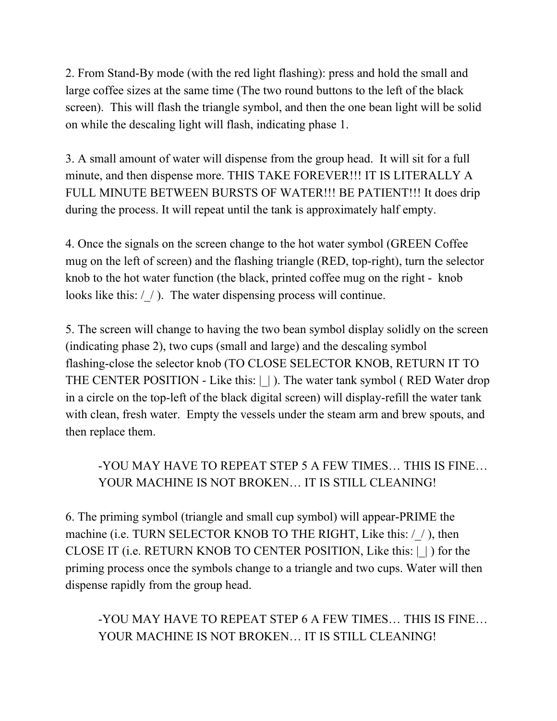2. From Stand-By mode (with the red light flashing): press and hold the small and large coffee sizes at the same time (The two round buttons to the left of the black screen). This will flash the triangle symbol, and then the one bean light will be solid on while the descaling light will flash, indicating phase 1.

3. A small amount of water will dispense from the group head. It will sit for a full minute, and then dispense more. THIS TAKE FOREVER!!! IT IS LITERALLY A FULL MINUTE BETWEEN BURSTS OF WATER!!! BE PATIENT!!! It does drip during the process. It will repeat until the tank is approximately half empty.

4. Once the signals on the screen change to the hot water symbol (GREEN Coffee mug on the left of screen) and the flashing triangle (RED, top-right), turn the selector knob to the hot water function (the black, printed coffee mug on the right - knob looks like this: / / ). The water dispensing process will continue.

5. The screen will change to having the two bean symbol display solidly on the screen (indicating phase 2), two cups (small and large) and the descaling symbol flashing-close the selector knob (TO CLOSE SELECTOR KNOB, RETURN IT TO THE CENTER POSITION - Like this: |\_| ). The water tank symbol ( RED Water drop in a circle on the top-left of the black digital screen) will display-refill the water tank with clean, fresh water. Empty the vessels under the steam arm and brew spouts, and then replace them.

## -YOU MAY HAVE TO REPEAT STEP 5 A FEW TIMES… THIS IS FINE… YOUR MACHINE IS NOT BROKEN… IT IS STILL CLEANING!

6. The priming symbol (triangle and small cup symbol) will appear-PRIME the machine (i.e. TURN SELECTOR KNOB TO THE RIGHT, Like this: / /), then CLOSE IT (i.e. RETURN KNOB TO CENTER POSITION, Like this: |\_| ) for the priming process once the symbols change to a triangle and two cups. Water will then dispense rapidly from the group head.

-YOU MAY HAVE TO REPEAT STEP 6 A FEW TIMES… THIS IS FINE… YOUR MACHINE IS NOT BROKEN… IT IS STILL CLEANING!